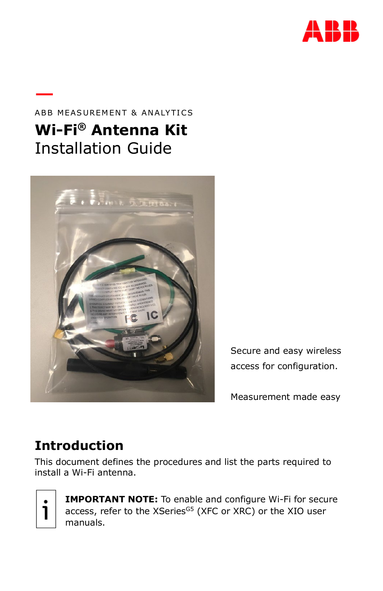

# ABB MEASUREMENT & ANALYTICS **Wi-Fi® Antenna Kit**  Installation Guide



Secure and easy wireless access for configuration.

Measurement made easy

## **Introduction**

This document defines the procedures and list the parts required to install a Wi-Fi antenna.



**IMPORTANT NOTE:** To enable and configure Wi-Fi for secure access, refer to the XSeries<sup>G5</sup> (XFC or XRC) or the XIO user manuals.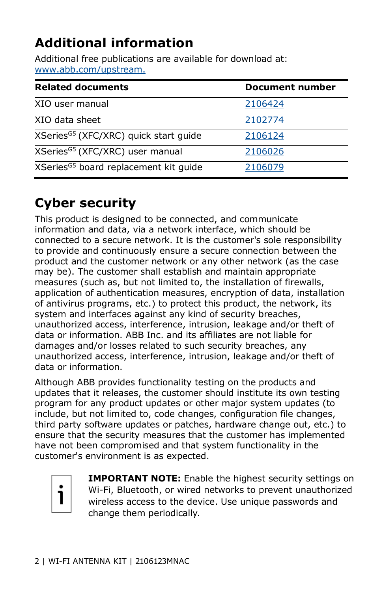## **Additional information**

Additional free publications are available for download at: [www.abb.com/upstream.](http://www.abb.com/upstream)

| <b>Related documents</b>                          | <b>Document number</b> |
|---------------------------------------------------|------------------------|
| XIO user manual                                   | 2106424                |
| XIO data sheet                                    | 2102774                |
| XSeries <sup>G5</sup> (XFC/XRC) quick start guide | 2106124                |
| XSeries <sup>G5</sup> (XFC/XRC) user manual       | 2106026                |
| XSeries <sup>G5</sup> board replacement kit guide | 2106079                |

## **Cyber security**

This product is designed to be connected, and communicate information and data, via a network interface, which should be connected to a secure network. It is the customer's sole responsibility to provide and continuously ensure a secure connection between the product and the customer network or any other network (as the case may be). The customer shall establish and maintain appropriate measures (such as, but not limited to, the installation of firewalls, application of authentication measures, encryption of data, installation of antivirus programs, etc.) to protect this product, the network, its system and interfaces against any kind of security breaches, unauthorized access, interference, intrusion, leakage and/or theft of data or information. ABB Inc. and its affiliates are not liable for damages and/or losses related to such security breaches, any unauthorized access, interference, intrusion, leakage and/or theft of data or information.

Although ABB provides functionality testing on the products and updates that it releases, the customer should institute its own testing program for any product updates or other major system updates (to include, but not limited to, code changes, configuration file changes, third party software updates or patches, hardware change out, etc.) to ensure that the security measures that the customer has implemented have not been compromised and that system functionality in the customer's environment is as expected.



**IMPORTANT NOTE:** Enable the highest security settings on Wi-Fi, Bluetooth, or wired networks to prevent unauthorized wireless access to the device. Use unique passwords and change them periodically.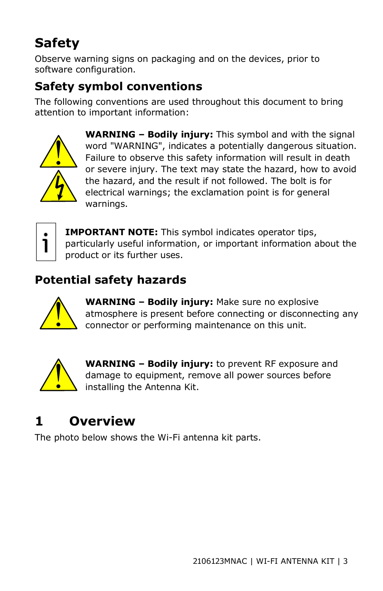# **Safety**

Observe warning signs on packaging and on the devices, prior to software configuration.

## **Safety symbol conventions**

The following conventions are used throughout this document to bring attention to important information:



**WARNING – Bodily injury:** This symbol and with the signal word "WARNING", indicates a potentially dangerous situation. Failure to observe this safety information will result in death or severe injury. The text may state the hazard, how to avoid the hazard, and the result if not followed. The bolt is for electrical warnings; the exclamation point is for general warnings.



**IMPORTANT NOTE:** This symbol indicates operator tips, particularly useful information, or important information about the product or its further uses.

## **Potential safety hazards**



**WARNING – Bodily injury:** Make sure no explosive atmosphere is present before connecting or disconnecting any connector or performing maintenance on this unit.



**WARNING – Bodily injury:** to prevent RF exposure and damage to equipment, remove all power sources before installing the Antenna Kit.

# **1 Overview**

The photo below shows the Wi-Fi antenna kit parts.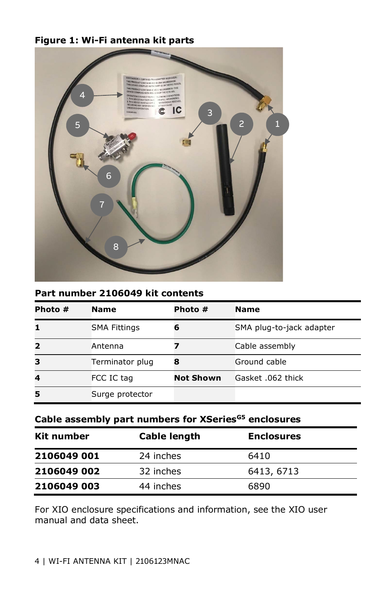### **Figure 1: Wi-Fi antenna kit parts**



#### **Part number 2106049 kit contents**

| Photo #                 | <b>Name</b>         | Photo #          | <b>Name</b>              |
|-------------------------|---------------------|------------------|--------------------------|
| 1                       | <b>SMA Fittings</b> |                  | SMA plug-to-jack adapter |
| $\overline{\mathbf{2}}$ | Antenna             |                  | Cable assembly           |
| 3                       | Terminator plug     | 8                | Ground cable             |
| 4                       | FCC IC tag          | <b>Not Shown</b> | Gasket .062 thick        |
| 5                       | Surge protector     |                  |                          |

### **Cable assembly part numbers for XSeriesG5 enclosures**

| Kit number  | Cable length | <b>Enclosures</b> |  |
|-------------|--------------|-------------------|--|
| 2106049 001 | 24 inches    | 6410              |  |
| 2106049 002 | 32 inches    | 6413, 6713        |  |
| 2106049 003 | 44 inches    | 6890              |  |

For XIO enclosure specifications and information, see the XIO user manual and data sheet.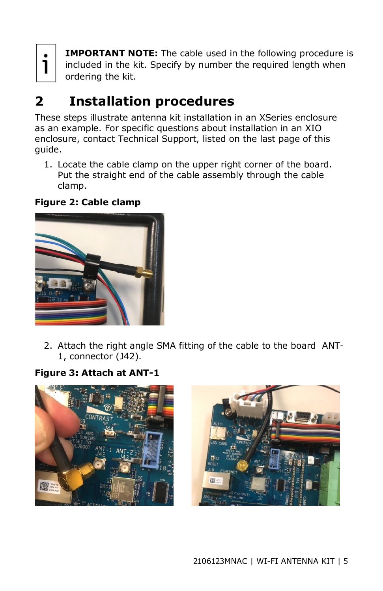1

**IMPORTANT NOTE:** The cable used in the following procedure is included in the kit. Specify by number the required length when ordering the kit.

# **2 Installation procedures**

These steps illustrate antenna kit installation in an XSeries enclosure as an example. For specific questions about installation in an XIO enclosure, contact Technical Support, listed on the last page of this guide.

1. Locate the cable clamp on the upper right corner of the board. Put the straight end of the cable assembly through the cable clamp.

### **Figure 2: Cable clamp**



2. Attach the right angle SMA fitting of the cable to the board ANT-1, connector (J42).

## **Figure 3: Attach at ANT-1**



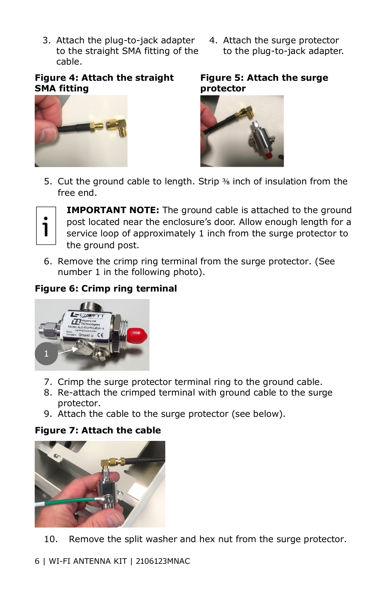- 3. Attach the plug-to-jack adapter to the straight SMA fitting of the cable.
- 4. Attach the surge protector
	- to the plug-to-jack adapter.

#### **Figure 4: Attach the straight SMA fitting**



**Figure 5: Attach the surge protector**



5. Cut the ground cable to length. Strip ⅜ inch of insulation from the free end.



**IMPORTANT NOTE:** The ground cable is attached to the ground post located near the enclosure's door. Allow enough length for a service loop of approximately 1 inch from the surge protector to the ground post.

6. Remove the crimp ring terminal from the surge protector. (See number 1 in the following photo).

## **Figure 6: Crimp ring terminal**



- 7. Crimp the surge protector terminal ring to the ground cable.
- 8. Re-attach the crimped terminal with ground cable to the surge protector.
- 9. Attach the cable to the surge protector (see below).

#### **Figure 7: Attach the cable**



10. Remove the split washer and hex nut from the surge protector.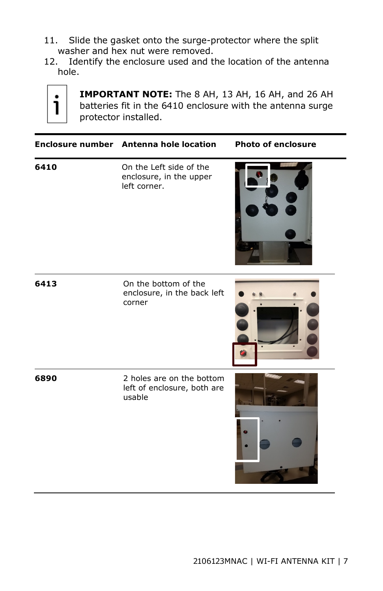- 11. Slide the gasket onto the surge-protector where the split washer and hex nut were removed.
- 12. Identify the enclosure used and the location of the antenna hole.



**IMPORTANT NOTE:** The 8 AH, 13 AH, 16 AH, and 26 AH batteries fit in the 6410 enclosure with the antenna surge protector installed.

|      | Enclosure number Antenna hole location                             | <b>Photo of enclosure</b> |
|------|--------------------------------------------------------------------|---------------------------|
| 6410 | On the Left side of the<br>enclosure, in the upper<br>left corner. |                           |
| 6413 | On the bottom of the<br>enclosure, in the back left<br>corner      |                           |
| 6890 | 2 holes are on the bottom<br>left of enclosure, both are<br>usable |                           |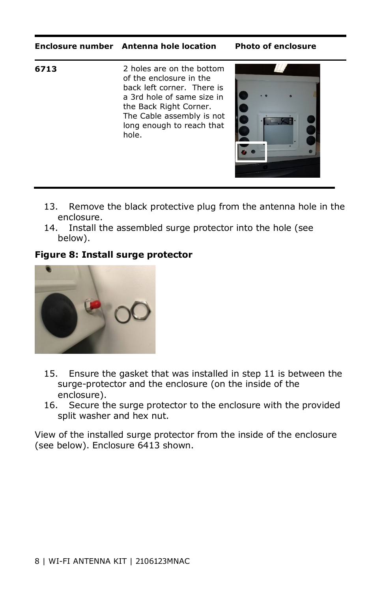#### **Enclosure number Antenna hole location Photo of enclosure**

- **6713** 2 holes are on the bottom of the enclosure in the back left corner. There is a 3rd hole of same size in the Back Right Corner. The Cable assembly is not long enough to reach that hole.
	- 13. Remove the black protective plug from the antenna hole in the enclosure.
	- 14. Install the assembled surge protector into the hole (see below).

#### **Figure 8: Install surge protector**



- 15. Ensure the gasket that was installed in step 11 is between the surge-protector and the enclosure (on the inside of the enclosure).
- 16. Secure the surge protector to the enclosure with the provided split washer and hex nut.

View of the installed surge protector from the inside of the enclosure (see below). Enclosure 6413 shown.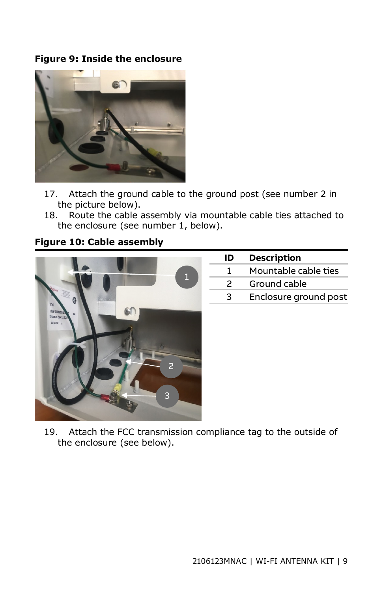#### **Figure 9: Inside the enclosure**



- 17. Attach the ground cable to the ground post (see number 2 in the picture below).
- 18. Route the cable assembly via mountable cable ties attached to the enclosure (see number 1, below).

### **Figure 10: Cable assembly**



| ID | <b>Description</b>    |
|----|-----------------------|
|    | Mountable cable ties  |
|    | Ground cable          |
| ્ર | Enclosure ground post |

19. Attach the FCC transmission compliance tag to the outside of the enclosure (see below).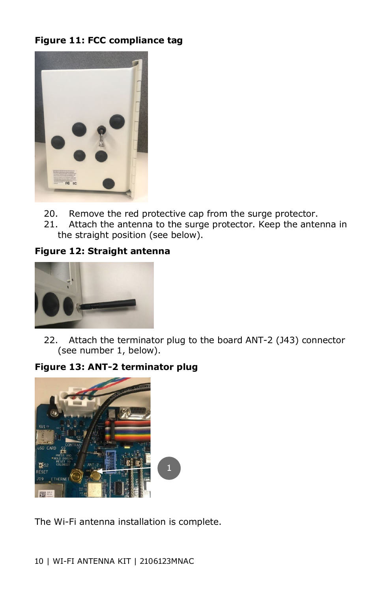### **Figure 11: FCC compliance tag**



- 20. Remove the red protective cap from the surge protector.<br>21. Attach the antenna to the surge protector. Keep the ante
- Attach the antenna to the surge protector. Keep the antenna in the straight position (see below).

### **Figure 12: Straight antenna**



22. Attach the terminator plug to the board ANT-2 (J43) connector (see number 1, below).

#### **Figure 13: ANT-2 terminator plug**



The Wi-Fi antenna installation is complete.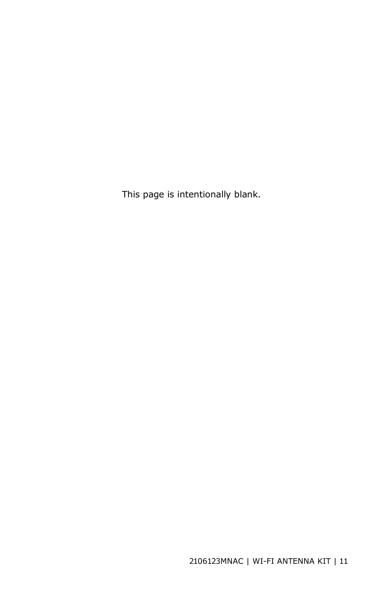This page is intentionally blank.